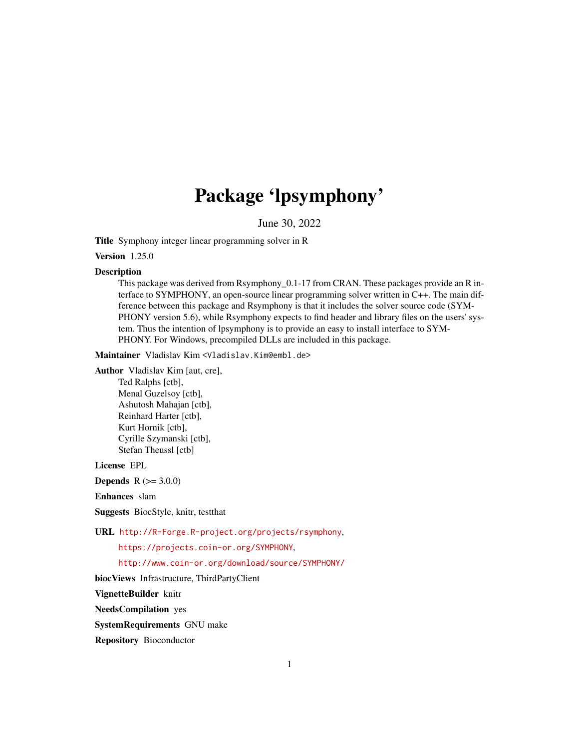## Package 'lpsymphony'

June 30, 2022

<span id="page-0-0"></span>Title Symphony integer linear programming solver in R

Version 1.25.0

#### **Description**

This package was derived from Rsymphony\_0.1-17 from CRAN. These packages provide an R interface to SYMPHONY, an open-source linear programming solver written in C++. The main difference between this package and Rsymphony is that it includes the solver source code (SYM-PHONY version 5.6), while Rsymphony expects to find header and library files on the users' system. Thus the intention of lpsymphony is to provide an easy to install interface to SYM-PHONY. For Windows, precompiled DLLs are included in this package.

Maintainer Vladislav Kim <Vladislav.Kim@embl.de>

Author Vladislav Kim [aut, cre],

Ted Ralphs [ctb], Menal Guzelsoy [ctb], Ashutosh Mahajan [ctb], Reinhard Harter [ctb], Kurt Hornik [ctb], Cyrille Szymanski [ctb], Stefan Theussl [ctb]

License EPL

**Depends**  $R (= 3.0.0)$ 

Enhances slam

Suggests BiocStyle, knitr, testthat

URL <http://R-Forge.R-project.org/projects/rsymphony>,

<https://projects.coin-or.org/SYMPHONY>,

<http://www.coin-or.org/download/source/SYMPHONY/>

biocViews Infrastructure, ThirdPartyClient

VignetteBuilder knitr

NeedsCompilation yes

SystemRequirements GNU make

Repository Bioconductor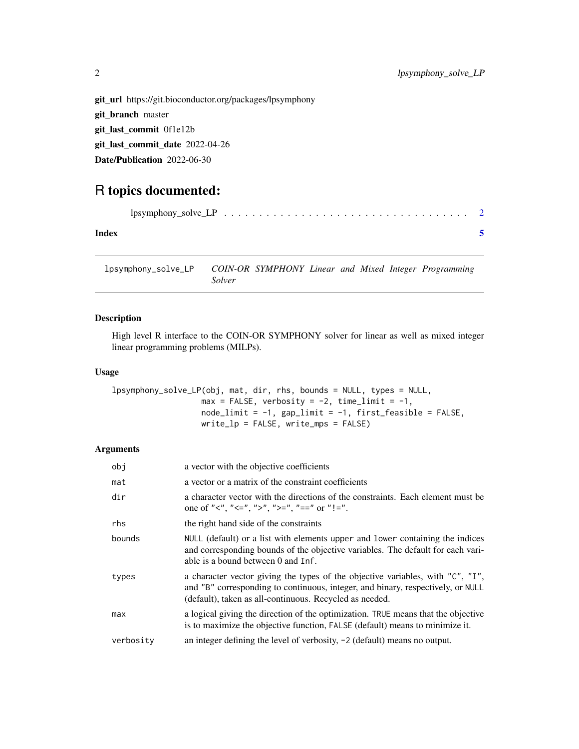```
git_url https://git.bioconductor.org/packages/lpsymphony
git_branch master
git_last_commit 0f1e12b
git_last_commit_date 2022-04-26
Date/Publication 2022-06-30
```
### R topics documented:

| Index |  |  |  |  |  |  |  |  |  |  |
|-------|--|--|--|--|--|--|--|--|--|--|

lpsymphony\_solve\_LP *COIN-OR SYMPHONY Linear and Mixed Integer Programming Solver*

#### Description

High level R interface to the COIN-OR SYMPHONY solver for linear as well as mixed integer linear programming problems (MILPs).

#### Usage

```
lpsymphony_solve_LP(obj, mat, dir, rhs, bounds = NULL, types = NULL,
                  max = FALSE, verbosity = -2, time_limit = -1,
                  nodelimit = -1, gap_limit = -1, first_feasible = FALSE,
                  write_lp = FALSE, write_mps = FALSE)
```
#### Arguments

| obj       | a vector with the objective coefficients                                                                                                                                                                                     |
|-----------|------------------------------------------------------------------------------------------------------------------------------------------------------------------------------------------------------------------------------|
| mat       | a vector or a matrix of the constraint coefficients                                                                                                                                                                          |
| dir       | a character vector with the directions of the constraints. Each element must be<br>one of "<", "<=", ">", ">=", "==" or "!=".                                                                                                |
| rhs       | the right hand side of the constraints                                                                                                                                                                                       |
| bounds    | NULL (default) or a list with elements upper and lower containing the indices<br>and corresponding bounds of the objective variables. The default for each vari-<br>able is a bound between 0 and Inf.                       |
| types     | a character vector giving the types of the objective variables, with "C", "I",<br>and "B" corresponding to continuous, integer, and binary, respectively, or NULL<br>(default), taken as all-continuous. Recycled as needed. |
| max       | a logical giving the direction of the optimization. TRUE means that the objective<br>is to maximize the objective function, FALSE (default) means to minimize it.                                                            |
| verbosity | an integer defining the level of verbosity, $-2$ (default) means no output.                                                                                                                                                  |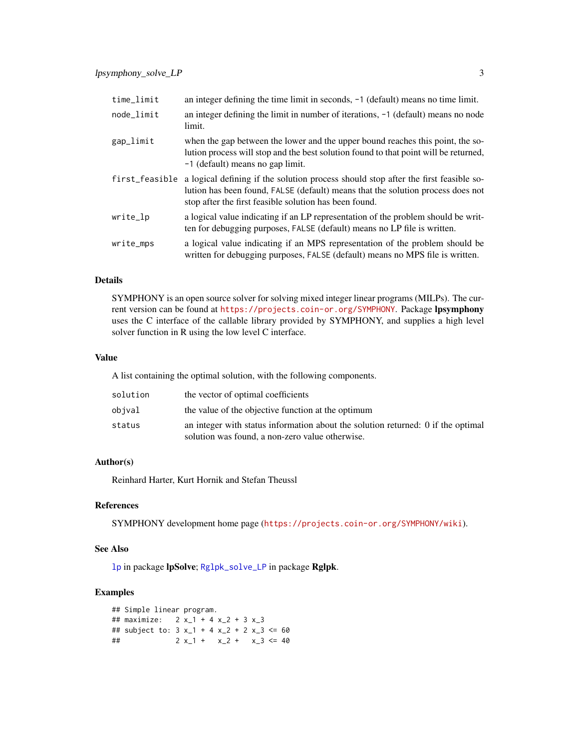<span id="page-2-0"></span>

| time_limit     | an integer defining the time limit in seconds, $-1$ (default) means no time limit.                                                                                                                                               |
|----------------|----------------------------------------------------------------------------------------------------------------------------------------------------------------------------------------------------------------------------------|
| node_limit     | an integer defining the limit in number of iterations, $-1$ (default) means no node<br>limit.                                                                                                                                    |
| gap_limit      | when the gap between the lower and the upper bound reaches this point, the so-<br>lution process will stop and the best solution found to that point will be returned,<br>-1 (default) means no gap limit.                       |
| first_feasible | a logical defining if the solution process should stop after the first feasible so-<br>lution has been found, FALSE (default) means that the solution process does not<br>stop after the first feasible solution has been found. |
| write_lp       | a logical value indicating if an LP representation of the problem should be writ-<br>ten for debugging purposes, FALSE (default) means no LP file is written.                                                                    |
| write_mps      | a logical value indicating if an MPS representation of the problem should be<br>written for debugging purposes, FALSE (default) means no MPS file is written.                                                                    |

#### Details

SYMPHONY is an open source solver for solving mixed integer linear programs (MILPs). The current version can be found at <https://projects.coin-or.org/SYMPHONY>. Package lpsymphony uses the C interface of the callable library provided by SYMPHONY, and supplies a high level solver function in R using the low level C interface.

#### Value

A list containing the optimal solution, with the following components.

| solution | the vector of optimal coefficients                                                                                                  |
|----------|-------------------------------------------------------------------------------------------------------------------------------------|
| obival   | the value of the objective function at the optimum                                                                                  |
| status   | an integer with status information about the solution returned: 0 if the optimal<br>solution was found, a non-zero value otherwise. |

#### Author(s)

Reinhard Harter, Kurt Hornik and Stefan Theussl

#### References

SYMPHONY development home page (<https://projects.coin-or.org/SYMPHONY/wiki>).

#### See Also

[lp](#page-0-0) in package lpSolve; [Rglpk\\_solve\\_LP](#page-0-0) in package Rglpk.

#### Examples

```
## Simple linear program.
## maximize: 2 x_1 + 4 x_2 + 3 x_3
## subject to: 3x_1 + 4x_2 + 2x_3 \le 60## 2 x_1 + x_2 + x_3 \le 40
```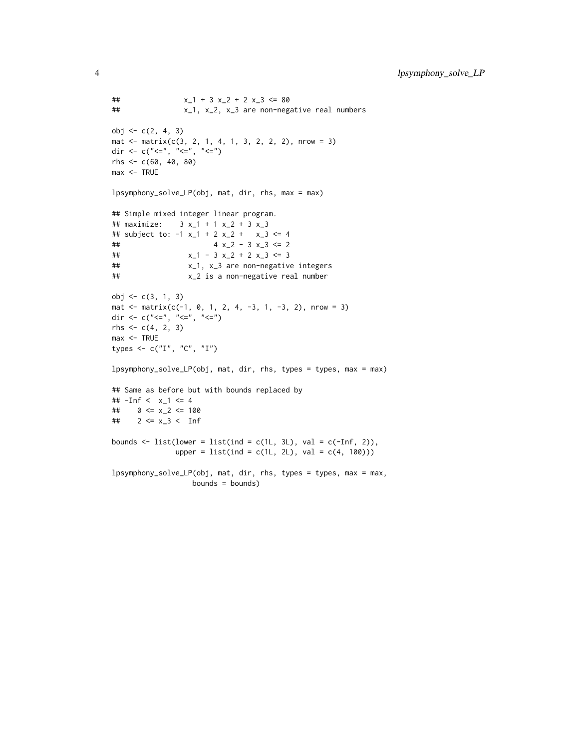```
## x_1 + 3 x_2 + 2 x_3 \le 80## x_1, x_2, x_3 are non-negative real numbers
obj <- c(2, 4, 3)
mat \le matrix(c(3, 2, 1, 4, 1, 3, 2, 2, 2), nrow = 3)
dir <- c("<=", "<=", "<=")
rhs <- c(60, 40, 80)
max <- TRUE
lpsymphony_solve_LP(obj, mat, dir, rhs, max = max)
## Simple mixed integer linear program.
## maximize: 3 x_1 + 1 x_2 + 3 x_3
## subject to: -1 x_1 + 2 x_2 + x_3 \le 4## 4 x_2 - 3 x_3 <= 2
## x_1 - 3 x_2 + 2 x_3 \le 3## x_1, x_3 are non-negative integers
## x_2 is a non-negative real number
obj <- c(3, 1, 3)
mat <- matrix(c(-1, 0, 1, 2, 4, -3, 1, -3, 2), nrow = 3)
dir <- c("<=", "<=", "<=")
rhs <- c(4, 2, 3)
max <- TRUE
types <- c("I", "C", "I")
lpsymphony_solve_LP(obj, mat, dir, rhs, types = types, max = max)
## Same as before but with bounds replaced by
## -Inf < x_1 <= 4
## 0 \le x_{-2} \le 100## 2 \le x_3 < \text{Inf}bounds \le list(lower = list(ind = c(1L, 3L), val = c(-Inf, 2)),
             upper = list(ind = c(1L, 2L), val = c(4, 100))lpsymphony_solve_LP(obj, mat, dir, rhs, types = types, max = max,
```
bounds = bounds)